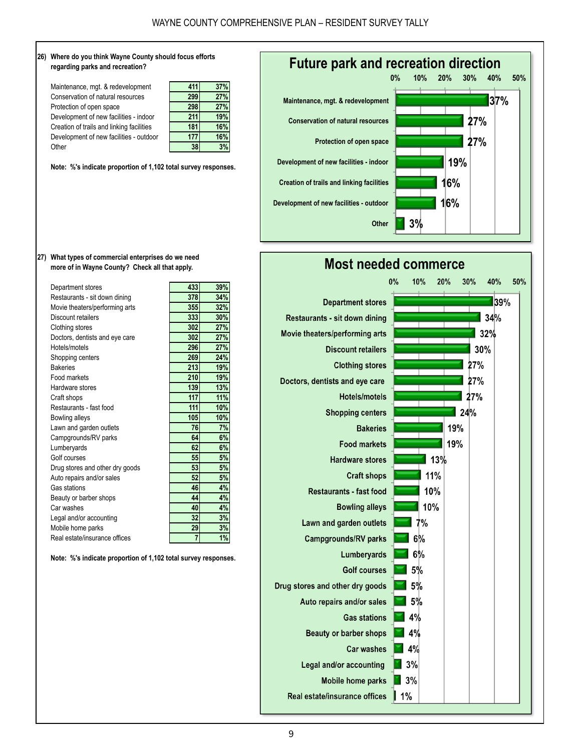





**27) What types of commercial enterprises do we need more of in Wayne County? Check all that apply.**

| Department stores               | 433            | 39% |
|---------------------------------|----------------|-----|
| Restaurants - sit down dining   | 378            | 34% |
| Movie theaters/performing arts  | 355            | 32% |
| Discount retailers              | 333            | 30% |
| Clothing stores                 | 302            | 27% |
| Doctors, dentists and eye care  | 302            | 27% |
| Hotels/motels                   | 296            | 27% |
| Shopping centers                | 269            | 24% |
| <b>Bakeries</b>                 | 213            | 19% |
| Food markets                    | 210            | 19% |
| Hardware stores                 | 139            | 13% |
| Craft shops                     | 117            | 11% |
| Restaurants - fast food         | 111            | 10% |
| Bowling alleys                  | 105            | 10% |
| Lawn and garden outlets         | 76             | 7%  |
| Campgrounds/RV parks            | 64             | 6%  |
| Lumberyards                     | 62             | 6%  |
| Golf courses                    | 55             | 5%  |
| Drug stores and other dry goods | 53             | 5%  |
| Auto repairs and/or sales       | 52             | 5%  |
| Gas stations                    | 46             | 4%  |
| Beauty or barber shops          | 44             | 4%  |
| Car washes                      | 40             | 4%  |
| Legal and/or accounting         | 32             | 3%  |
| Mobile home parks               | 29             | 3%  |
| Real estate/insurance offices   | $\overline{7}$ | 1%  |

**Note: %'s indicate proportion of 1,102 total survey responses.**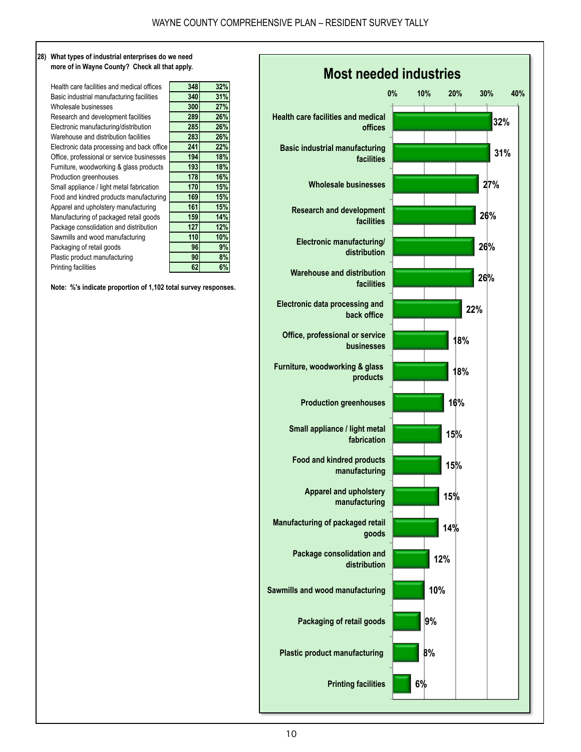## **28) What types of industrial enterprises do we need more of in Wayne County? Check all that apply.**

| Health care facilities and medical offices | 348 | 32% |
|--------------------------------------------|-----|-----|
| Basic industrial manufacturing facilities  | 340 | 31% |
| Wholesale businesses                       | 300 | 27% |
| Research and development facilities        | 289 | 26% |
| Electronic manufacturing/distribution      | 285 | 26% |
| Warehouse and distribution facilities      | 283 | 26% |
| Electronic data processing and back office | 241 | 22% |
| Office, professional or service businesses | 194 | 18% |
| Furniture, woodworking & glass products    | 193 | 18% |
| Production greenhouses                     | 178 | 16% |
| Small appliance / light metal fabrication  | 170 | 15% |
| Food and kindred products manufacturing    | 169 | 15% |
| Apparel and upholstery manufacturing       | 161 | 15% |
| Manufacturing of packaged retail goods     | 159 | 14% |
| Package consolidation and distribution     | 127 | 12% |
| Sawmills and wood manufacturing            | 110 | 10% |
| Packaging of retail goods                  | 96  | 9%  |
| Plastic product manufacturing              | 90  | 8%  |
| Printing facilities                        | 62  | 6%  |
|                                            |     |     |

| 348 | 32% |  |
|-----|-----|--|
| 340 | 31% |  |
| 300 | 27% |  |
| 289 | 26% |  |
| 285 | 26% |  |
| 283 | 26% |  |
| 241 | 22% |  |
| 194 | 18% |  |
| 193 | 18% |  |
| 178 | 16% |  |
| 170 | 15% |  |
| 169 | 15% |  |
| 161 | 15% |  |
| 159 | 14% |  |
| 127 | 12% |  |
| 110 | 10% |  |
| 96  | 9%  |  |
| 90  | 8%  |  |
| 62  | 6%  |  |

**Note: %'s indicate proportion of 1,102 total survey responses.**